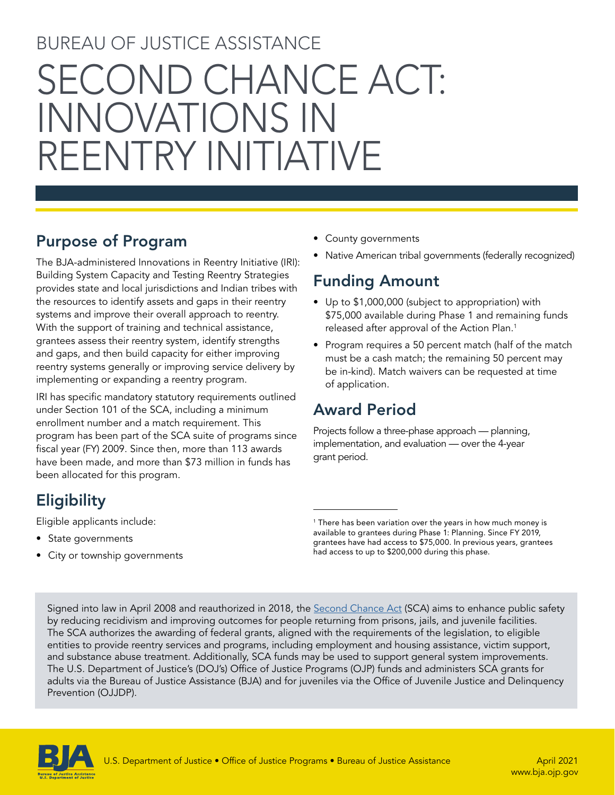# BUREAU OF JUSTICE ASSISTANCE SECOND CHANCE ACT: INNOVATIONS IN REENTRY INITIATIVE

## Purpose of Program

The BJA-administered Innovations in Reentry Initiative (IRI): Building System Capacity and Testing Reentry Strategies provides state and local jurisdictions and Indian tribes with the resources to identify assets and gaps in their reentry systems and improve their overall approach to reentry. With the support of training and technical assistance, grantees assess their reentry system, identify strengths and gaps, and then build capacity for either improving reentry systems generally or improving service delivery by implementing or expanding a reentry program.

IRI has specific mandatory statutory requirements outlined under Section 101 of the SCA, including a minimum enrollment number and a match requirement. This program has been part of the SCA suite of programs since fiscal year (FY) 2009. Since then, more than 113 awards have been made, and more than \$73 million in funds has been allocated for this program.

# **Eligibility**

Eligible applicants include:

- State governments
- City or township governments
- County governments
- Native American tribal governments (federally recognized)

# Funding Amount

- Up to \$1,000,000 (subject to appropriation) with \$75,000 available during Phase 1 and remaining funds released after approval of the Action Plan.<sup>1</sup>
- Program requires a 50 percent match (half of the match must be a cash match; the remaining 50 percent may be in-kind). Match waivers can be requested at time of application.

# Award Period

Projects follow a three-phase approach — planning, implementation, and evaluation — over the 4-year grant period.

Signed into law in April 2008 and reauthorized in 2018, the [Second Chance Act](https://www.govinfo.gov/content/pkg/PLAW-110publ199/pdf/PLAW-110publ199.pdf) (SCA) aims to enhance public safety by reducing recidivism and improving outcomes for people returning from prisons, jails, and juvenile facilities. The SCA authorizes the awarding of federal grants, aligned with the requirements of the legislation, to eligible entities to provide reentry services and programs, including employment and housing assistance, victim support, and substance abuse treatment. Additionally, SCA funds may be used to support general system improvements. The U.S. Department of Justice's (DOJ's) Office of Justice Programs (OJP) funds and administers SCA grants for adults via the Bureau of Justice Assistance (BJA) and for juveniles via the Office of Juvenile Justice and Delinquency Prevention (OJJDP).



<sup>1</sup> There has been variation over the years in how much money is available to grantees during Phase 1: Planning. Since FY 2019, grantees have had access to \$75,000. In previous years, grantees had access to up to \$200,000 during this phase.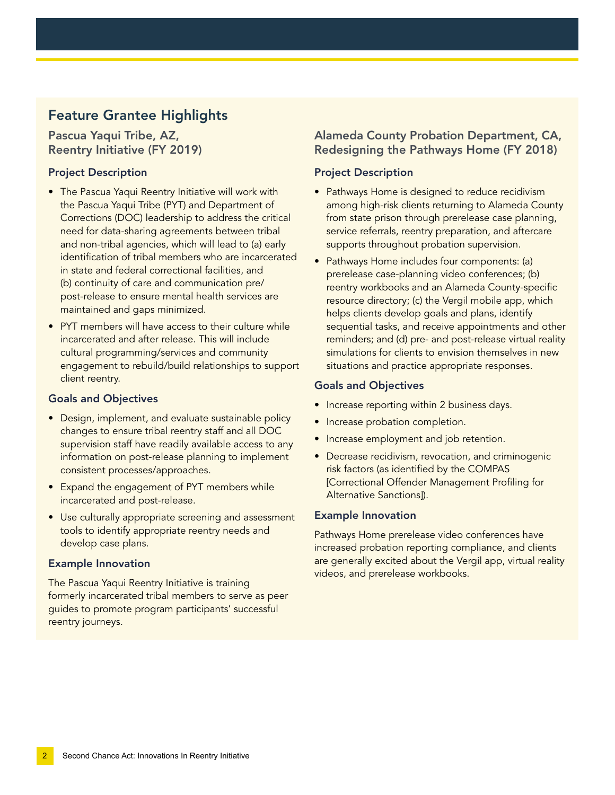### Feature Grantee Highlights

Pascua Yaqui Tribe, AZ, Reentry Initiative (FY 2019)

#### Project Description

- The Pascua Yaqui Reentry Initiative will work with the Pascua Yaqui Tribe (PYT) and Department of Corrections (DOC) leadership to address the critical need for data-sharing agreements between tribal and non-tribal agencies, which will lead to (a) early identifcation of tribal members who are incarcerated in state and federal correctional facilities, and (b) continuity of care and communication pre/ post-release to ensure mental health services are maintained and gaps minimized.
- PYT members will have access to their culture while incarcerated and after release. This will include cultural programming/services and community engagement to rebuild/build relationships to support client reentry.

#### Goals and Objectives

- Design, implement, and evaluate sustainable policy changes to ensure tribal reentry staff and all DOC supervision staff have readily available access to any information on post-release planning to implement consistent processes/approaches.
- Expand the engagement of PYT members while incarcerated and post-release.
- Use culturally appropriate screening and assessment tools to identify appropriate reentry needs and develop case plans.

#### Example Innovation

The Pascua Yaqui Reentry Initiative is training formerly incarcerated tribal members to serve as peer guides to promote program participants' successful reentry journeys.

#### Alameda County Probation Department, CA, Redesigning the Pathways Home (FY 2018)

#### Project Description

- Pathways Home is designed to reduce recidivism among high-risk clients returning to Alameda County from state prison through prerelease case planning, service referrals, reentry preparation, and aftercare supports throughout probation supervision.
- Pathways Home includes four components: (a) prerelease case-planning video conferences; (b) reentry workbooks and an Alameda County-specific resource directory; (c) the Vergil mobile app, which helps clients develop goals and plans, identify sequential tasks, and receive appointments and other reminders; and (d) pre- and post-release virtual reality simulations for clients to envision themselves in new situations and practice appropriate responses.

#### Goals and Objectives

- Increase reporting within 2 business days.
- Increase probation completion.
- Increase employment and job retention.
- Decrease recidivism, revocation, and criminogenic risk factors (as identifed by the COMPAS [Correctional Offender Management Profling for Alternative Sanctions]).

#### Example Innovation

Pathways Home prerelease video conferences have increased probation reporting compliance, and clients are generally excited about the Vergil app, virtual reality videos, and prerelease workbooks.